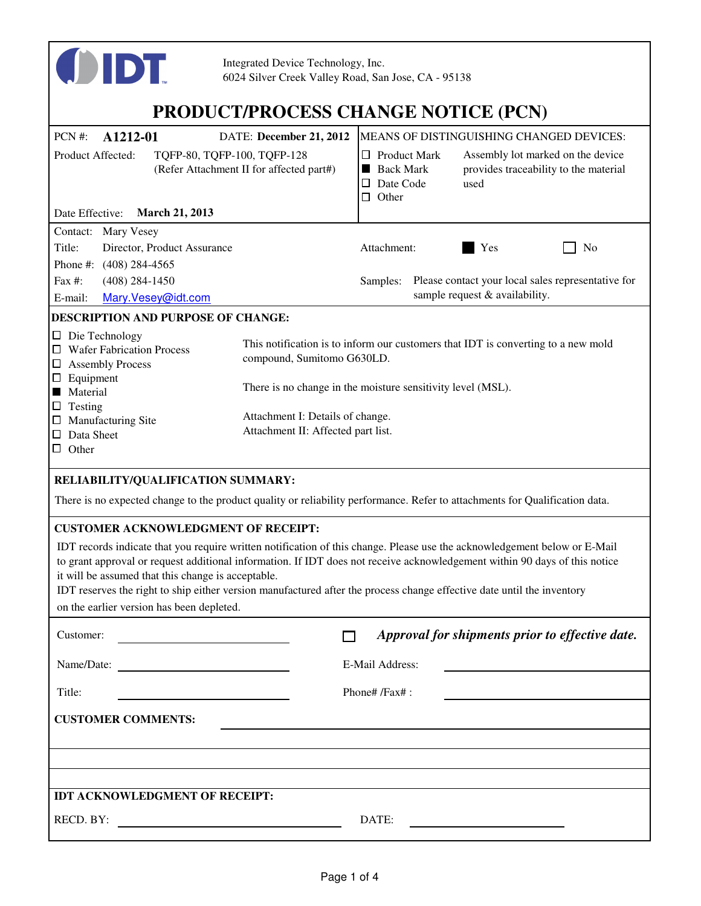

# **PRODUCT/PROCESS CHANGE NOTICE (PCN)**

| PCN #:<br>A1212-01<br>DATE: December 21, 2012<br>Product Affected:<br>TQFP-80, TQFP-100, TQFP-128<br>(Refer Attachment II for affected part#)                                                                                                                                                                                                           |                                    | MEANS OF DISTINGUISHING CHANGED DEVICES:<br>Assembly lot marked on the device<br>$\Box$ Product Mark<br>provides traceability to the material<br><b>Back Mark</b><br>Date Code<br>used<br>ப |                                                                                                                                                  |                                |                                                    |
|---------------------------------------------------------------------------------------------------------------------------------------------------------------------------------------------------------------------------------------------------------------------------------------------------------------------------------------------------------|------------------------------------|---------------------------------------------------------------------------------------------------------------------------------------------------------------------------------------------|--------------------------------------------------------------------------------------------------------------------------------------------------|--------------------------------|----------------------------------------------------|
| Date Effective:<br><b>March 21, 2013</b>                                                                                                                                                                                                                                                                                                                |                                    | Other<br>□.                                                                                                                                                                                 |                                                                                                                                                  |                                |                                                    |
| Contact:<br>Mary Vesey                                                                                                                                                                                                                                                                                                                                  |                                    |                                                                                                                                                                                             |                                                                                                                                                  |                                |                                                    |
| Title:<br>Director, Product Assurance                                                                                                                                                                                                                                                                                                                   |                                    | Attachment:                                                                                                                                                                                 |                                                                                                                                                  | Yes                            | No                                                 |
| Phone #: (408) 284-4565                                                                                                                                                                                                                                                                                                                                 |                                    |                                                                                                                                                                                             |                                                                                                                                                  |                                |                                                    |
| Fax #:<br>$(408)$ 284-1450                                                                                                                                                                                                                                                                                                                              |                                    | Samples:                                                                                                                                                                                    |                                                                                                                                                  |                                | Please contact your local sales representative for |
| Mary.Vesey@idt.com<br>E-mail:                                                                                                                                                                                                                                                                                                                           |                                    |                                                                                                                                                                                             |                                                                                                                                                  | sample request & availability. |                                                    |
| DESCRIPTION AND PURPOSE OF CHANGE:                                                                                                                                                                                                                                                                                                                      |                                    |                                                                                                                                                                                             |                                                                                                                                                  |                                |                                                    |
| $\Box$ Die Technology<br>$\Box$ Wafer Fabrication Process<br>compound, Sumitomo G630LD.<br>□ Assembly Process<br>$\Box$ Equipment<br><b>Material</b><br>$\Box$ Testing<br>Attachment I: Details of change.<br>$\Box$ Manufacturing Site                                                                                                                 |                                    |                                                                                                                                                                                             | This notification is to inform our customers that IDT is converting to a new mold<br>There is no change in the moisture sensitivity level (MSL). |                                |                                                    |
| $\Box$ Data Sheet<br>$\Box$ Other                                                                                                                                                                                                                                                                                                                       | Attachment II: Affected part list. |                                                                                                                                                                                             |                                                                                                                                                  |                                |                                                    |
| RELIABILITY/QUALIFICATION SUMMARY:<br>There is no expected change to the product quality or reliability performance. Refer to attachments for Qualification data.<br><b>CUSTOMER ACKNOWLEDGMENT OF RECEIPT:</b><br>IDT records indicate that you require written notification of this change. Please use the acknowledgement below or E-Mail            |                                    |                                                                                                                                                                                             |                                                                                                                                                  |                                |                                                    |
| to grant approval or request additional information. If IDT does not receive acknowledgement within 90 days of this notice<br>it will be assumed that this change is acceptable.<br>IDT reserves the right to ship either version manufactured after the process change effective date until the inventory<br>on the earlier version has been depleted. |                                    |                                                                                                                                                                                             |                                                                                                                                                  |                                |                                                    |
| Customer:                                                                                                                                                                                                                                                                                                                                               |                                    |                                                                                                                                                                                             |                                                                                                                                                  |                                | Approval for shipments prior to effective date.    |
|                                                                                                                                                                                                                                                                                                                                                         |                                    | E-Mail Address:                                                                                                                                                                             |                                                                                                                                                  |                                |                                                    |
| Title:                                                                                                                                                                                                                                                                                                                                                  |                                    | Phone# /Fax#:                                                                                                                                                                               |                                                                                                                                                  |                                |                                                    |
| <b>CUSTOMER COMMENTS:</b>                                                                                                                                                                                                                                                                                                                               |                                    |                                                                                                                                                                                             |                                                                                                                                                  |                                |                                                    |
|                                                                                                                                                                                                                                                                                                                                                         |                                    |                                                                                                                                                                                             |                                                                                                                                                  |                                |                                                    |
|                                                                                                                                                                                                                                                                                                                                                         |                                    |                                                                                                                                                                                             |                                                                                                                                                  |                                |                                                    |
|                                                                                                                                                                                                                                                                                                                                                         |                                    |                                                                                                                                                                                             |                                                                                                                                                  |                                |                                                    |
| IDT ACKNOWLEDGMENT OF RECEIPT:                                                                                                                                                                                                                                                                                                                          |                                    |                                                                                                                                                                                             |                                                                                                                                                  |                                |                                                    |
| RECD. BY:<br><u>and the community of the community of the community of the community of the community of the community of the community of the community of the community of the community of the community of the community of the community</u>                                                                                                       |                                    | DATE:                                                                                                                                                                                       |                                                                                                                                                  |                                |                                                    |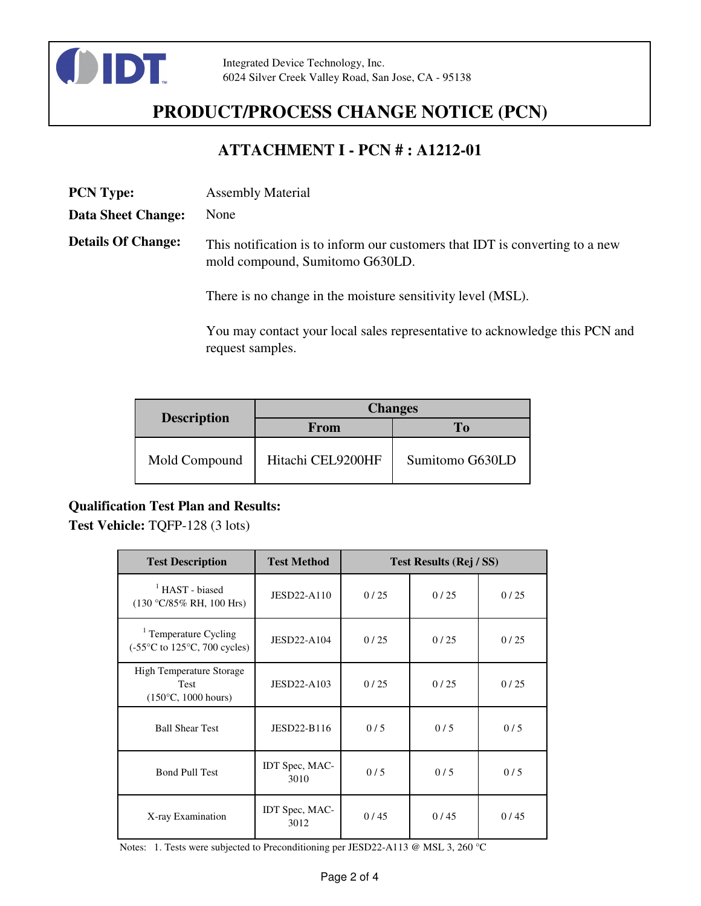

## **PRODUCT/PROCESS CHANGE NOTICE (PCN)**

### **ATTACHMENT I - PCN # : A1212-01**

| <b>PCN Type:</b>          | <b>Assembly Material</b>                                                                                        |
|---------------------------|-----------------------------------------------------------------------------------------------------------------|
| <b>Data Sheet Change:</b> | None                                                                                                            |
| <b>Details Of Change:</b> | This notification is to inform our customers that IDT is converting to a new<br>mold compound, Sumitomo G630LD. |
|                           | There is no change in the moisture sensitivity level (MSL).                                                     |

You may contact your local sales representative to acknowledge this PCN and request samples.

|                    | <b>Changes</b>    |                 |  |  |
|--------------------|-------------------|-----------------|--|--|
| <b>Description</b> | From              | To              |  |  |
| Mold Compound      | Hitachi CEL9200HF | Sumitomo G630LD |  |  |

#### **Qualification Test Plan and Results:**

**Test Vehicle:** TQFP-128 (3 lots)

| <b>Test Description</b>                                                                           | <b>Test Method</b>     | Test Results (Rej / SS) |      |      |
|---------------------------------------------------------------------------------------------------|------------------------|-------------------------|------|------|
| <sup>1</sup> HAST - biased<br>$(130 °C/85\% RH, 100 Hrs)$                                         | <b>JESD22-A110</b>     | 0/25                    | 0/25 | 0/25 |
| <sup>1</sup> Temperature Cycling<br>$(-55^{\circ}C \text{ to } 125^{\circ}C, 700 \text{ cycles})$ | <b>JESD22-A104</b>     | 0/25                    | 0/25 | 0/25 |
| <b>High Temperature Storage</b><br><b>Test</b><br>$(150^{\circ}C, 1000$ hours)                    | JESD22-A103            | 0/25                    | 0/25 | 0/25 |
| <b>Ball Shear Test</b>                                                                            | JESD22-B116            | 0/5                     | 0/5  | 0/5  |
| <b>Bond Pull Test</b>                                                                             | IDT Spec, MAC-<br>3010 | 0/5                     | 0/5  | 0/5  |
| X-ray Examination                                                                                 | IDT Spec, MAC-<br>3012 | 0/45                    | 0/45 | 0/45 |

Notes: 1. Tests were subjected to Preconditioning per JESD22-A113 @ MSL 3, 260 °C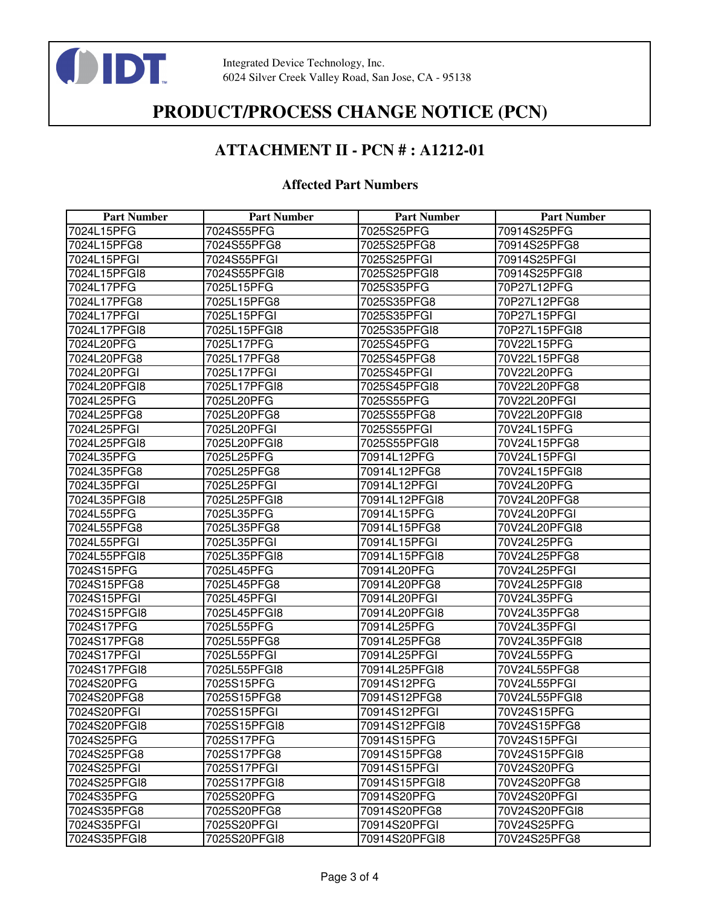

## **PRODUCT/PROCESS CHANGE NOTICE (PCN)**

### **ATTACHMENT II - PCN # : A1212-01**

#### **Affected Part Numbers**

| <b>Part Number</b> | <b>Part Number</b> | <b>Part Number</b> | <b>Part Number</b> |
|--------------------|--------------------|--------------------|--------------------|
| 7024L15PFG         | 7024S55PFG         | 7025S25PFG         | 70914S25PFG        |
| 7024L15PFG8        | 7024S55PFG8        | 7025S25PFG8        | 70914S25PFG8       |
| 7024L15PFGI        | 7024S55PFGI        | 7025S25PFGI        | 70914S25PFGI       |
| 7024L15PFGI8       | 7024S55PFGI8       | 7025S25PFGI8       | 70914S25PFGI8      |
| 7024L17PFG         | 7025L15PFG         | 7025S35PFG         | 70P27L12PFG        |
| 7024L17PFG8        | 7025L15PFG8        | 7025S35PFG8        | 70P27L12PFG8       |
| 7024L17PFGI        | 7025L15PFGI        | 7025S35PFGI        | 70P27L15PFGI       |
| 7024L17PFGI8       | 7025L15PFGI8       | 7025S35PFGI8       | 70P27L15PFGI8      |
| 7024L20PFG         | 7025L17PFG         | 7025S45PFG         | 70V22L15PFG        |
| 7024L20PFG8        | 7025L17PFG8        | 7025S45PFG8        | 70V22L15PFG8       |
| 7024L20PFGI        | 7025L17PFGI        | 7025S45PFGI        | 70V22L20PFG        |
| 7024L20PFGI8       | 7025L17PFGI8       | 7025S45PFGI8       | 70V22L20PFG8       |
| 7024L25PFG         | 7025L20PFG         | 7025S55PFG         | 70V22L20PFGI       |
| 7024L25PFG8        | 7025L20PFG8        | 7025S55PFG8        | 70V22L20PFGI8      |
| 7024L25PFGI        | 7025L20PFGI        | 7025S55PFGI        | 70V24L15PFG        |
| 7024L25PFGI8       | 7025L20PFGI8       | 7025S55PFGI8       | 70V24L15PFG8       |
| 7024L35PFG         | 7025L25PFG         | 70914L12PFG        | 70V24L15PFGI       |
| 7024L35PFG8        | 7025L25PFG8        | 70914L12PFG8       | 70V24L15PFGI8      |
| 7024L35PFGI        | 7025L25PFGI        | 70914L12PFGI       | 70V24L20PFG        |
| 7024L35PFGI8       | 7025L25PFGI8       | 70914L12PFGI8      | 70V24L20PFG8       |
| 7024L55PFG         | 7025L35PFG         | 70914L15PFG        | 70V24L20PFGI       |
| 7024L55PFG8        | 7025L35PFG8        | 70914L15PFG8       | 70V24L20PFGI8      |
| 7024L55PFGI        | 7025L35PFGI        | 70914L15PFGI       | 70V24L25PFG        |
| 7024L55PFGI8       | 7025L35PFGI8       | 70914L15PFGI8      | 70V24L25PFG8       |
| 7024S15PFG         | 7025L45PFG         | 70914L20PFG        | 70V24L25PFGI       |
| 7024S15PFG8        | 7025L45PFG8        | 70914L20PFG8       | 70V24L25PFGI8      |
| 7024S15PFGI        | 7025L45PFGI        | 70914L20PFGI       | 70V24L35PFG        |
| 7024S15PFGI8       | 7025L45PFGI8       | 70914L20PFGI8      | 70V24L35PFG8       |
| 7024S17PFG         | 7025L55PFG         | 70914L25PFG        | 70V24L35PFGI       |
| 7024S17PFG8        | 7025L55PFG8        | 70914L25PFG8       | 70V24L35PFGI8      |
| 7024S17PFGI        | 7025L55PFGI        | 70914L25PFGI       | 70V24L55PFG        |
| 7024S17PFGI8       | 7025L55PFGI8       | 70914L25PFGI8      | 70V24L55PFG8       |
| 7024S20PFG         | 7025S15PFG         | 70914S12PFG        | 70V24L55PFGI       |
| 7024S20PFG8        | 7025S15PFG8        | 70914S12PFG8       | 70V24L55PFGI8      |
| 7024S20PFGI        | 7025S15PFGI        | 70914S12PFGI       | 70V24S15PFG        |
| 7024S20PFGI8       | 7025S15PFGI8       | 70914S12PFGI8      | 70V24S15PFG8       |
| 7024S25PFG         | 7025S17PFG         | 70914S15PFG        | 70V24S15PFGI       |
| 7024S25PFG8        | 7025S17PFG8        | 70914S15PFG8       | 70V24S15PFGI8      |
| 7024S25PFGI        | 7025S17PFGI        | 70914S15PFGI       | 70V24S20PFG        |
| 7024S25PFGI8       | 7025S17PFGI8       | 70914S15PFGI8      | 70V24S20PFG8       |
| 7024S35PFG         | 7025S20PFG         | 70914S20PFG        | 70V24S20PFGI       |
| 7024S35PFG8        | 7025S20PFG8        | 70914S20PFG8       | 70V24S20PFGI8      |
| 7024S35PFGI        | 7025S20PFGI        | 70914S20PFGI       | 70V24S25PFG        |
| 7024S35PFGI8       | 7025S20PFGI8       | 70914S20PFGI8      | 70V24S25PFG8       |